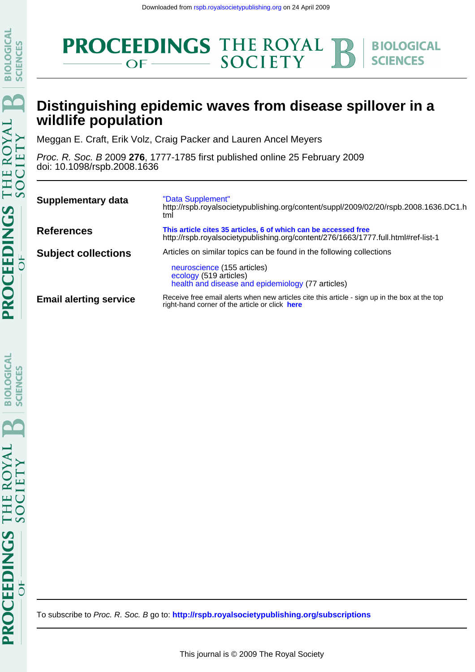**BIOLOGICAL**<br>SCIENCES

THE ROYAL

PROCEEDINGS



# **wildlife population Distinguishing epidemic waves from disease spillover in a**

Meggan E. Craft, Erik Volz, Craig Packer and Lauren Ancel Meyers

doi: 10.1098/rspb.2008.1636 Proc. R. Soc. B 2009 **276**, 1777-1785 first published online 25 February 2009

| <b>Supplementary data</b>     | "Data Supplement"<br>http://rspb.royalsocietypublishing.org/content/suppl/2009/02/20/rspb.2008.1636.DC1.h<br>tml                                     |
|-------------------------------|------------------------------------------------------------------------------------------------------------------------------------------------------|
| <b>References</b>             | This article cites 35 articles, 6 of which can be accessed free<br>http://rspb.royalsocietypublishing.org/content/276/1663/1777.full.html#ref-list-1 |
| <b>Subject collections</b>    | Articles on similar topics can be found in the following collections                                                                                 |
|                               | neuroscience (155 articles)<br>ecology (519 articles)<br>health and disease and epidemiology (77 articles)                                           |
| <b>Email alerting service</b> | Receive free email alerts when new articles cite this article - sign up in the box at the top<br>right-hand corner of the article or click here      |

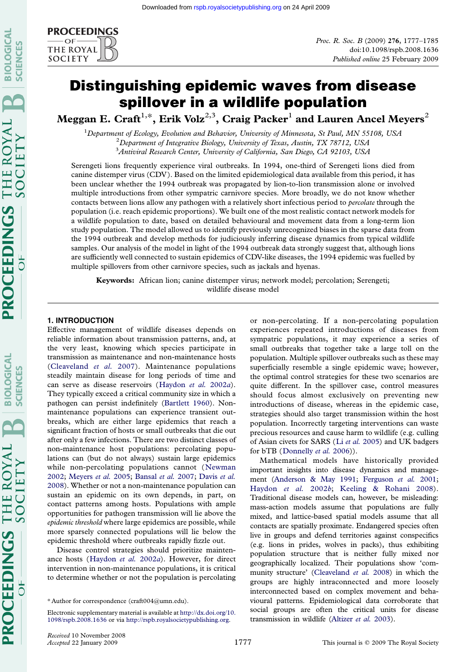

# Distinguishing epidemic waves from disease spillover in a wildlife population

Meggan E. Craft<sup>1,\*</sup>, Erik Volz<sup>2,3</sup>, Craig Packer<sup>1</sup> and Lauren Ancel Meyers<sup>2</sup>

<sup>1</sup>Department of Ecology, Evolution and Behavior, University of Minnesota, St Paul, MN 55108, USA <sup>2</sup>Department of Integrative Biology, University of Texas, Austin, TY 78712, USA  ${}^{2}$ Department of Integrative Biology, University of Texas, Austin, TX 78712, USA <sup>3</sup> Antiviral Research Center, University of California, San Diego, CA 92103, USA

Serengeti lions frequently experience viral outbreaks. In 1994, one-third of Serengeti lions died from canine distemper virus (CDV). Based on the limited epidemiological data available from this period, it has been unclear whether the 1994 outbreak was propagated by lion-to-lion transmission alone or involved multiple introductions from other sympatric carnivore species. More broadly, we do not know whether contacts between lions allow any pathogen with a relatively short infectious period to *percolate* through the population (i.e. reach epidemic proportions). We built one of the most realistic contact network models for a wildlife population to date, based on detailed behavioural and movement data from a long-term lion study population. The model allowed us to identify previously unrecognized biases in the sparse data from the 1994 outbreak and develop methods for judiciously inferring disease dynamics from typical wildlife samples. Our analysis of the model in light of the 1994 outbreak data strongly suggest that, although lions are sufficiently well connected to sustain epidemics of CDV-like diseases, the 1994 epidemic was fuelled by multiple spillovers from other carnivore species, such as jackals and hyenas.

Keywords: African lion; canine distemper virus; network model; percolation; Serengeti; wildlife disease model

# 1. INTRODUCTION

Effective management of wildlife diseases depends on reliable information about transmission patterns, and, at the very least, knowing which species participate in transmission as maintenance and non-maintenance hosts ([Cleaveland](#page-8-0) et al. 2007). Maintenance populations steadily maintain disease for long periods of time and can serve as disease reservoirs ([Haydon](#page-9-0) et al. 2002a). They typically exceed a critical community size in which a pathogen can persist indefinitely ([Bartlett 1960\)](#page-8-0). Nonmaintenance populations can experience transient outbreaks, which are either large epidemics that reach a significant fraction of hosts or small outbreaks that die out after only a few infections. There are two distinct classes of non-maintenance host populations: percolating populations can (but do not always) sustain large epidemics while non-percolating populations cannot ([Newman](#page-9-0) [2002](#page-9-0); [Meyers](#page-9-0) et al. 2005; [Bansal](#page-8-0) et al. 2007; [Davis](#page-9-0) et al. [2008](#page-9-0)). Whether or not a non-maintenance population can sustain an epidemic on its own depends, in part, on contact patterns among hosts. Populations with ample opportunities for pathogen transmission will lie above the epidemic threshold where large epidemics are possible, while more sparsely connected populations will lie below the epidemic threshold where outbreaks rapidly fizzle out.

Disease control strategies should prioritize maintenance hosts ([Haydon](#page-9-0) et al. 2002a). However, for direct intervention in non-maintenance populations, it is critical to determine whether or not the population is percolating

or non-percolating. If a non-percolating population experiences repeated introductions of diseases from sympatric populations, it may experience a series of small outbreaks that together take a large toll on the population. Multiple spillover outbreaks such as these may superficially resemble a single epidemic wave; however, the optimal control strategies for these two scenarios are quite different. In the spillover case, control measures should focus almost exclusively on preventing new introductions of disease, whereas in the epidemic case, strategies should also target transmission within the host population. Incorrectly targeting interventions can waste precious resources and cause harm to wildlife (e.g. culling of Asian civets for SARS (Li et al. [2005](#page-9-0)) and UK badgers for bTB ([Donnelly](#page-9-0) et al. 2006)).

Mathematical models have historically provided important insights into disease dynamics and management ([Anderson & May 1991](#page-8-0); [Ferguson](#page-9-0) et al. 2001; [Haydon](#page-9-0) et al. 2002b; [Keeling & Rohani 2008\)](#page-9-0). Traditional disease models can, however, be misleading: mass-action models assume that populations are fully mixed, and lattice-based spatial models assume that all contacts are spatially proximate. Endangered species often live in groups and defend territories against conspecifics (e.g. lions in prides, wolves in packs), thus exhibiting population structure that is neither fully mixed nor geographically localized. Their populations show 'community structure' [\(Cleaveland](#page-8-0) et al. 2008) in which the groups are highly intraconnected and more loosely interconnected based on complex movement and behavioural patterns. Epidemiological data corroborate that social groups are often the critical units for disease transmission in wildlife [\(Altizer](#page-8-0) et al. 2003).

<sup>\*</sup> Author for correspondence (craft004@umn.edu).

Electronic supplementary material is available at [http://dx.doi.org/10.](http://dx.doi.org/10.1098/rspb.2008.1636) [1098/rspb.2008.1636](http://dx.doi.org/10.1098/rspb.2008.1636) or via [http://rspb.royalsocietypublishing.org.](http://rspb.royalsocietypublishing.org)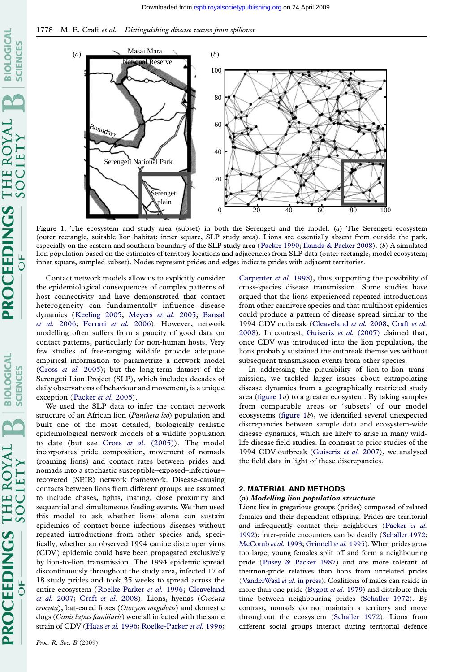<span id="page-2-0"></span>

Figure 1. The ecosystem and study area (subset) in both the Serengeti and the model. (a) The Serengeti ecosystem (outer rectangle, suitable lion habitat; inner square, SLP study area). Lions are essentially absent from outside the park, especially on the eastern and southern boundary of the SLP study area ([Packer 1990;](#page-9-0) [Ikanda & Packer 2008\)](#page-9-0). (b) A simulated lion population based on the estimates of territory locations and adjacencies from SLP data (outer rectangle, model ecosystem; inner square, sampled subset). Nodes represent prides and edges indicate prides with adjacent territories.

Contact network models allow us to explicitly consider the epidemiological consequences of complex patterns of host connectivity and have demonstrated that contact heterogeneity can fundamentally influence disease dynamics ([Keeling 2005;](#page-9-0) [Meyers](#page-9-0) et al. 2005; [Bansal](#page-8-0) [et al.](#page-8-0) 2006; [Ferrari](#page-9-0) et al. 2006). However, network modelling often suffers from a paucity of good data on contact patterns, particularly for non-human hosts. Very few studies of free-ranging wildlife provide adequate empirical information to parametrize a network model ([Cross](#page-9-0) et al. 2005); but the long-term dataset of the Serengeti Lion Project (SLP), which includes decades of daily observations of behaviour and movement, is a unique exception ([Packer](#page-9-0) et al. 2005).

We used the SLP data to infer the contact network structure of an African lion (Panthera leo) population and built one of the most detailed, biologically realistic epidemiological network models of a wildlife population to date (but see Cross et al. [\(2005\)](#page-9-0)). The model incorporates pride composition, movement of nomads (roaming lions) and contact rates between prides and nomads into a stochastic susceptible–exposed–infectious– recovered (SEIR) network framework. Disease-causing contacts between lions from different groups are assumed to include chases, fights, mating, close proximity and sequential and simultaneous feeding events. We then used this model to ask whether lions alone can sustain epidemics of contact-borne infectious diseases without repeated introductions from other species and, specifically, whether an observed 1994 canine distemper virus (CDV) epidemic could have been propagated exclusively by lion-to-lion transmission. The 1994 epidemic spread discontinuously throughout the study area, infected 17 of 18 study prides and took 35 weeks to spread across the entire ecosystem ([Roelke-Parker](#page-9-0) et al. 1996; [Cleaveland](#page-8-0) [et al.](#page-8-0) 2007; Craft [et al.](#page-9-0) 2008). Lions, hyenas (Crocuta crocuta), bat-eared foxes (Otocyon megalotis) and domestic dogs (Canis lupus familiaris) were all infected with the same strain of CDV ([Haas](#page-9-0) et al. 1996; [Roelke-Parker](#page-9-0) et al. 1996;

[Carpenter](#page-8-0) et al. 1998), thus supporting the possibility of cross-species disease transmission. Some studies have argued that the lions experienced repeated introductions from other carnivore species and that multihost epidemics could produce a pattern of disease spread similar to the 1994 CDV outbreak [\(Cleaveland](#page-8-0) et al. 2008; [Craft](#page-9-0) et al. [2008](#page-9-0)). In contrast, [Guiserix](#page-9-0) et al. (2007) claimed that, once CDV was introduced into the lion population, the lions probably sustained the outbreak themselves without subsequent transmission events from other species.

In addressing the plausibility of lion-to-lion transmission, we tackled larger issues about extrapolating disease dynamics from a geographically restricted study area (figure  $1a$ ) to a greater ecosystem. By taking samples from comparable areas or 'subsets' of our model ecosystems (figure  $1b$ ), we identified several unexpected discrepancies between sample data and ecosystem-wide disease dynamics, which are likely to arise in many wildlife disease field studies. In contrast to prior studies of the 1994 CDV outbreak ([Guiserix](#page-9-0) et al. 2007), we analysed the field data in light of these discrepancies.

#### 2. MATERIAL AND METHODS

#### (a) Modelling lion population structure

Lions live in gregarious groups (prides) composed of related females and their dependent offspring. Prides are territorial and infrequently contact their neighbours ([Packer](#page-9-0) et al. [1992](#page-9-0)); inter-pride encounters can be deadly ([Schaller 1972;](#page-9-0) [McComb](#page-9-0) et al. 1993; [Grinnell](#page-9-0) et al. 1995). When prides grow too large, young females split off and form a neighbouring pride ([Pusey & Packer 1987\)](#page-9-0) and are more tolerant of theirnon-pride relatives than lions from unrelated prides ([VanderWaal](#page-9-0) et al. in press). Coalitions of males can reside in more than one pride [\(Bygott](#page-8-0) et al. 1979) and distribute their time between neighbouring prides ([Schaller 1972\)](#page-9-0). By contrast, nomads do not maintain a territory and move throughout the ecosystem ([Schaller 1972](#page-9-0)). Lions from different social groups interact during territorial defence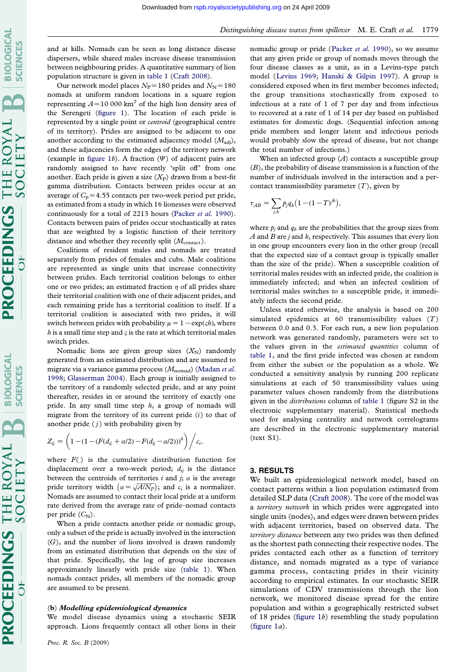and at kills. Nomads can be seen as long distance disease dispersers, while shared males increase disease transmission between neighbouring prides. A quantitative summary of lion population structure is given in [table 1](#page-4-0) ([Craft 2008\)](#page-8-0).

Our network model places  $N_P$ =180 prides and  $N_N$ =180 nomads at uniform random locations in a square region representing  $A=10000 \text{ km}^2$  of the high lion density area of the Serengeti ([figure 1\)](#page-2-0). The location of each pride is represented by a single point or *centroid* (geographical centre of its territory). Prides are assigned to be adjacent to one another according to the estimated adjacency model  $(M_{\text{adi}})$ , and these adjacencies form the edges of the territory network (example in [figure 1](#page-2-0)b). A fraction  $(\Psi)$  of adjacent pairs are randomly assigned to have recently 'split off' from one another. Each pride is given a size  $(X_P)$  drawn from a best-fit gamma distribution. Contacts between prides occur at an average of  $C_p$ =4.55 contacts per two-week period per pride, as estimated from a study in which 16 lionesses were observed continuously for a total of 2213 hours ([Packer](#page-9-0) et al. 1990). Contacts between pairs of prides occur stochastically at rates that are weighted by a logistic function of their territory distance and whether they recently split  $(M<sub>contact</sub>)$ .

Coalitions of resident males and nomads are treated separately from prides of females and cubs. Male coalitions are represented as single units that increase connectivity between prides. Each territorial coalition belongs to either one or two prides; an estimated fraction  $\eta$  of all prides share their territorial coalition with one of their adjacent prides, and each remaining pride has a territorial coalition to itself. If a territorial coalition is associated with two prides, it will switch between prides with probability  $\mu=1-\exp(\zeta h)$ , where h is a small time step and  $\varsigma$  is the rate at which territorial males switch prides.

Nomadic lions are given group sizes  $(X_N)$  randomly generated from an estimated distribution and are assumed to migrate via a variance gamma process  $(M_{\text{nomad}})$  ([Madan](#page-9-0) et al. [1998](#page-9-0); [Glasserman 2004\)](#page-9-0). Each group is initially assigned to the territory of a randomly selected pride, and at any point thereafter, resides in or around the territory of exactly one pride. In any small time step  $h$ , a group of nomads will migrate from the territory of its current pride  $(i)$  to that of another pride  $(j)$  with probability given by

$$
Z_{ij} = \left(1 - \left(1 - \left(F(d_{ij} + \alpha/2) - F(d_{ij} - \alpha/2)\right)\right)^h\right) / c_i,
$$

where  $F()$  is the cumulative distribution function for displacement over a two-week period;  $d_{ii}$  is the distance between the centroids of territories i and j;  $\alpha$  is the average pride territory width  $(\alpha = \sqrt{A/N_P})$ ; and  $c_i$  is a normalizer. Nomads are assumed to contact their local pride at a uniform rate derived from the average rate of pride–nomad contacts per pride  $(C_N)$ .

When a pride contacts another pride or nomadic group, only a subset of the pride is actually involved in the interaction  $(G)$ , and the number of lions involved is drawn randomly from an estimated distribution that depends on the size of that pride. Specifically, the log of group size increases approximately linearly with pride size ([table 1\)](#page-4-0). When nomads contact prides, all members of the nomadic group are assumed to be present.

#### (b) Modelling epidemiological dynamics

We model disease dynamics using a stochastic SEIR approach. Lions frequently contact all other lions in their nomadic group or pride ([Packer](#page-9-0) et al. 1990), so we assume that any given pride or group of nomads moves through the four disease classes as a unit, as in a Levins-type patch model ([Levins 1969](#page-9-0); [Hanski & Gilpin 1997](#page-9-0)). A group is considered exposed when its first member becomes infected; the group transitions stochastically from exposed to infectious at a rate of 1 of 7 per day and from infectious to recovered at a rate of 1 of 14 per day based on published estimates for domestic dogs. (Sequential infection among pride members and longer latent and infectious periods would probably slow the spread of disease, but not change the total number of infections.)

When an infected group  $(A)$  contacts a susceptible group  $(B)$ , the probability of disease transmission is a function of the number of individuals involved in the interaction and a percontact transmissibility parameter  $(T)$ , given by

$$
\tau_{AB} = \sum_{j,k} p_j q_k \big( 1 - (1-T)^{jk} \big),
$$

where  $p_i$  and  $q_k$  are the probabilities that the group sizes from A and B are j and k, respectively. This assumes that every lion in one group encounters every lion in the other group (recall that the expected size of a contact group is typically smaller than the size of the pride). When a susceptible coalition of territorial males resides with an infected pride, the coalition is immediately infected; and when an infected coalition of territorial males switches to a susceptible pride, it immediately infects the second pride.

Unless stated otherwise, the analysis is based on 200 simulated epidemics at  $60$  transmissibility values  $(T)$ between 0.0 and 0.3. For each run, a new lion population network was generated randomly, parameters were set to the values given in the estimated quantities column of [table 1](#page-4-0), and the first pride infected was chosen at random from either the subset or the population as a whole. We conducted a sensitivity analysis by running 200 replicate simulations at each of 50 transmissibility values using parameter values chosen randomly from the distributions given in the distributions column of [table 1](#page-4-0) (figure S2 in the electronic supplementary material). Statistical methods used for analysing centrality and network correlograms are described in the electronic supplementary material (text S1).

#### 3. RESULTS

We built an epidemiological network model, based on contact patterns within a lion population estimated from detailed SLP data ([Craft 2008](#page-8-0)). The core of the model was a territory network in which prides were aggregated into single units (nodes), and edges were drawn between prides with adjacent territories, based on observed data. The territory distance between any two prides was then defined as the shortest path connecting their respective nodes. The prides contacted each other as a function of territory distance, and nomads migrated as a type of variance gamma process, contacting prides in their vicinity according to empirical estimates. In our stochastic SEIR simulations of CDV transmissions through the lion network, we monitored disease spread for the entire population and within a geographically restricted subset of 18 prides ([figure 1](#page-2-0)b) resembling the study population (figure  $1a$ ).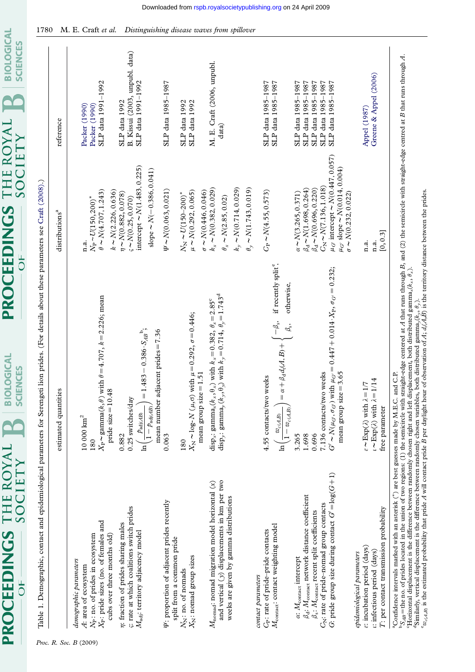**BIOLOGICAL SCIENCES** PROCEEDINGS THE ROYAL **SOCIETY**  $\overline{O}$ 

# PROCEEDINGS THE ROYAL **SOCIETY**  $\overline{0}$

<span id="page-4-0"></span>BIOLOGICAL<br>SCIENCES

Table 1. Demographic, contact and epidemiological parameters for Serengeti lion prides. (For details about these parameters see Craft (2008).) Table 1. Demographic, contact and epidemiological parameters for Serengeti lion prides. (For details about these parameters see Craft [\(2008\)](#page-8-0).)

|                                                                                                                                                                                                                                                                         | estimated quantities                                                                                                                                                                                         | distributions <sup>a</sup>                                                                                                                                                                                                                                                                 | reference                                                                                                  |
|-------------------------------------------------------------------------------------------------------------------------------------------------------------------------------------------------------------------------------------------------------------------------|--------------------------------------------------------------------------------------------------------------------------------------------------------------------------------------------------------------|--------------------------------------------------------------------------------------------------------------------------------------------------------------------------------------------------------------------------------------------------------------------------------------------|------------------------------------------------------------------------------------------------------------|
| $X_{\rm P}$ : pride sizes (no. of females and<br>N <sub>p</sub> : no. of prides in ecosystem<br>cubs over three months old)<br>demographic parameters<br>A: area of ecosystem                                                                                           | $X_{\rm P}$ ~ gamma( $k, \theta$ ) with $\theta = 4.707$ , $k = 2.226$ ; mean<br>1.48<br>pride size = 10<br>$10\ 000\ {\rm km}^2$<br>180                                                                     | $\theta \sim N(4.707, 1.243)$<br>$k \sim N(2.226, 0.636)$<br>$N_{\rm P}$ ~ $U(150, 200)^*$<br>n.a.                                                                                                                                                                                         | SLP data 1991-1992<br>Packer (1990)<br>Packer (1990)                                                       |
| c: rate at which coalitions switch prides<br><i>n</i> : fraction of prides sharing males<br>M <sub>adj</sub> : territory adjacency model                                                                                                                                | $= 1.483 - 0.386 \cdot S_{AB}^{b}$ ;<br>adjacent prides = 7.36<br>0.25 switches/day<br>mean number<br>$p_{\text{adj}(AB)}$<br>$\Lambda-\mathcal{P}\text{adj}(AB)$<br>0.882<br>$\overline{H}$                 | intercept $\sim N(1.483, 0.225)$<br>$slope \sim N(-0.386, 0.041)$<br>$\eta \sim N(0.882, 0.078)$<br>$\varsigma \sim N(0.25, 0.070)$                                                                                                                                                        | B. Kissui (2003, unpubl. data)<br>SLP data 1991-1992<br>SLP data 1992                                      |
| W: proportion of adjacent prides recently<br>split from a common pride<br>X <sub>N</sub> : nomad group sizes<br>N <sub>N</sub> : no. of nomads                                                                                                                          | $X_N \sim \log_{10} N(\mu, \sigma)$ with $\mu = 0.292$ , $\sigma = 0.446$ ;<br>mean group size $= 1.51$<br>0.063<br>180                                                                                      | $\Psi \sim N(0.063, 0.021)$<br>$\mu \sim N(0.292, 0.065)$<br>$\sigma \sim N(0.446, 0.046)$<br>$N_{\rm N}\sim U(150\hbox{--}200)^\ast$                                                                                                                                                      | SLP data 1985-1987<br>SLP data 1992<br>SLP data 1992                                                       |
| and vertical $(y)$ displacements in km per two<br>$M_{\mathrm{nomad}}$ : nomad migration model horizontal $(x)$<br>weeks are given by gamma distributions                                                                                                               | disp <sub>y</sub> : gamma <sub>y</sub> $(k_y, \theta_y)$ with $k_y = 0.714$ , $\theta_y = 1.743^d$<br>disp <sub>x</sub> : gamma <sub>x</sub> ( $k_x$ , $\theta_x$ ) with $k_x = 0.382$ , $\theta_x = 2.85$ ° | $\theta_{y} \sim N(1.743, 0.019)$<br>$k_{\rm x} \sim N(0.382, 0.029)$<br>$k_{y} \sim N(0.714, 0.029)$<br>$\theta_x \sim N(2.85, 0.02)$                                                                                                                                                     | M. E. Craft (2006, unpubl.<br>data)                                                                        |
| M <sub>contact</sub> : contact weighting model<br>C <sub>P</sub> : rate of pride-pride contacts<br>contact parameters                                                                                                                                                   | = $\alpha + \beta_d d_i(A, B) + \begin{cases} -\beta_s, & \text{if recently split}^e, \\ a \end{cases}$<br>4.55 contacts/two weeks<br>$\sqrt{1-w_{c(A,B)}}$<br>$w_{c\left( A,B\right) }$<br>$\overline{H}$   | $C_{\rm P} \sim N(4.55, 0.573)$                                                                                                                                                                                                                                                            | SLP data 1985-1987<br>SLP data 1985-1987                                                                   |
| G: pride group size during contact $G' = log(G + 1)$<br>$\beta_{\rm d}{:}\,M_{\rm contact}$ network distance coefficient<br>CN: rate of pride-nomad group contacts<br>$\beta_s$ : $M_{\rm contact}$ recent split coefficients<br>$\alpha$ : $M_{\rm contact}$ intercept | $G'\thicksim N(\mu_{G'},\sigma_{G'})$ with $\mu_{G}=0.447+0.014\cdot X_\text{P},\ \sigma_{G'}=0.232;$<br>7.136 contacts/two weeks<br>mean group size $= 3.65$<br>0.696<br>3.265<br>1.698                     | $\mu_{G'}$ intercept $\sim$ N(0.447, 0.057)<br>$\mu_{G'}$ slope $\sim$ $N(0.014, 0.004)$<br>$C_{\rm N}\!\sim\!N(7.136,1.018)$<br>$\beta_{\rm d}$ $\sim$ $N(0.696, 0.220)$<br>$\beta_{\rm d}$ $\sim$ $N(1.698, 0.264)$<br>$\alpha \sim N(3.265, 0.371)$<br>$\sigma$ $\sim$ $N(0.232,0.022)$ | SLP data 1985-1987<br>SLP data 1985-1987<br>SLP data 1985-1987<br>SLP data 1985-1987<br>SLP data 1985-1987 |
| T: per contact transmission probability<br>e: incubation period (days)<br>:: infectious period (days)<br>epidemiological parameters                                                                                                                                     | $= 1/14$<br>$\varepsilon \sim \text{Exp}(\lambda)$ with $\lambda = 1/7$<br>$\iota \sim \text{Exp}(\lambda)$ with $\lambda$<br>free parameter                                                                 | [0, 0.3]<br>n.a.<br>n.a.                                                                                                                                                                                                                                                                   | Greene & Appel (2006)<br>Appel (1987)                                                                      |
| <sup>a</sup> Confidence intervals marked with an asterisk (*) are best guesses made by M.E.C. and C.P.                                                                                                                                                                  |                                                                                                                                                                                                              |                                                                                                                                                                                                                                                                                            |                                                                                                            |

 SAB = the no. of prides located in the union of two regions:  $(1)$  the semicircle with straight-edge centered at A that runs through B, and (2) the semicircle with straight-edge centred at B that runs through A.

 $^{\circ}$ Horizontal displacement is the difference between randomly chosen right and left displacement, both distributed gamma<sub>x</sub>( $k_x$ ,  $\theta_x$ ).<br><sup>4</sup>Similarly, vertical displacement is the difference between randomly chosen va

 $w_{c(A,B)}$  is the estimated probability that pride A will contact pride B per daylight hour of observation of  $A; d_i(A,B)$  is the territory distance between the prides.

1780 M. E. Craft et al. Distinguishing disease waves from spillover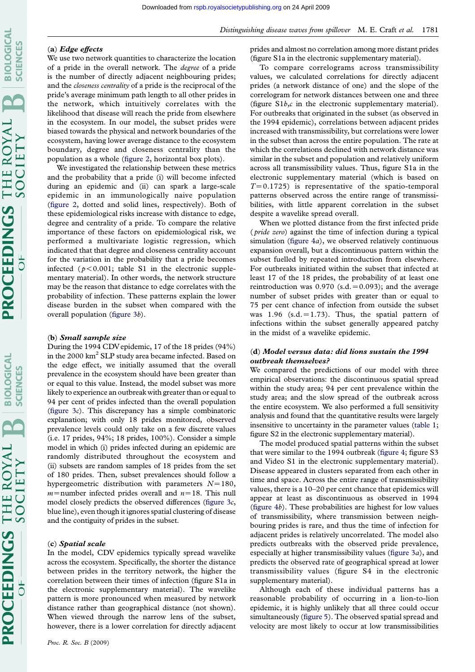# (a) Edge effects

We use two network quantities to characterize the location of a pride in the overall network. The degree of a pride is the number of directly adjacent neighbouring prides; and the closeness centrality of a pride is the reciprocal of the pride's average minimum path length to all other prides in the network, which intuitively correlates with the likelihood that disease will reach the pride from elsewhere in the ecosystem. In our model, the subset prides were biased towards the physical and network boundaries of the ecosystem, having lower average distance to the ecosystem boundary, degree and closeness centrality than the population as a whole ([figure 2](#page-6-0), horizontal box plots).

We investigated the relationship between these metrics and the probability that a pride (i) will become infected during an epidemic and (ii) can spark a large-scale epidemic in an immunologically naive population ([figure 2](#page-6-0), dotted and solid lines, respectively). Both of these epidemiological risks increase with distance to edge, degree and centrality of a pride. To compare the relative importance of these factors on epidemiological risk, we performed a multivariate logistic regression, which indicated that that degree and closeness centrality account for the variation in the probability that a pride becomes infected ( $p < 0.001$ ; table S1 in the electronic supplementary material). In other words, the network structure may be the reason that distance to edge correlates with the probability of infection. These patterns explain the lower disease burden in the subset when compared with the overall population [\(figure 3](#page-6-0)b).

# (b) Small sample size

During the 1994 CDVepidemic, 17 of the 18 prides (94%) in the 2000  $\text{km}^2$  SLP study area became infected. Based on the edge effect, we initially assumed that the overall prevalence in the ecosystem should have been greater than or equal to this value. Instead, the model subset was more likely to experience an outbreak with greater than or equal to 94 per cent of prides infected than the overall population (figure  $3c$ ). This discrepancy has a simple combinatoric explanation; with only 18 prides monitored, observed prevalence levels could only take on a few discrete values (i.e. 17 prides, 94%; 18 prides, 100%). Consider a simple model in which (i) prides infected during an epidemic are randomly distributed throughout the ecosystem and (ii) subsets are random samples of 18 prides from the set of 180 prides. Then, subset prevalences should follow a hypergeometric distribution with parameters  $N=180$ ,  $m$ =number infected prides overall and  $n=18$ . This null model closely predicts the observed differences ([figure 3](#page-6-0)c, blue line), even though it ignores spatial clustering of disease and the contiguity of prides in the subset.

# (c) Spatial scale

In the model, CDV epidemics typically spread wavelike across the ecosystem. Specifically, the shorter the distance between prides in the territory network, the higher the correlation between their times of infection (figure S1a in the electronic supplementary material). The wavelike pattern is more pronounced when measured by network distance rather than geographical distance (not shown). When viewed through the narrow lens of the subset, however, there is a lower correlation for directly adjacent prides and almost no correlation among more distant prides (figure S1a in the electronic supplementary material).

To compare correlograms across transmissibility values, we calculated correlations for directly adjacent prides (a network distance of one) and the slope of the correlogram for network distances between one and three (figure  $S1b,c$ , in the electronic supplementary material). For outbreaks that originated in the subset (as observed in the 1994 epidemic), correlations between adjacent prides increased with transmissibility, but correlations were lower in the subset than across the entire population. The rate at which the correlations declined with network distance was similar in the subset and population and relatively uniform across all transmissibility values. Thus, figure S1a in the electronic supplementary material (which is based on  $T=0.1725$ ) is representative of the spatio-temporal patterns observed across the entire range of transmissibilities, with little apparent correlation in the subset despite a wavelike spread overall.

When we plotted distance from the first infected pride ( pride zero) against the time of infection during a typical simulation (figure  $4a$ ), we observed relatively continuous expansion overall, but a discontinuous pattern within the subset fuelled by repeated introduction from elsewhere. For outbreaks initiated within the subset that infected at least 17 of the 18 prides, the probability of at least one reintroduction was  $0.970$  (s.d.  $= 0.093$ ); and the average number of subset prides with greater than or equal to 75 per cent chance of infection from outside the subset was  $1.96$  (s.d. = 1.73). Thus, the spatial pattern of infections within the subset generally appeared patchy in the midst of a wavelike epidemic.

# (d) Model versus data: did lions sustain the 1994 outbreak themselves?

We compared the predictions of our model with three empirical observations: the discontinuous spatial spread within the study area; 94 per cent prevalence within the study area; and the slow spread of the outbreak across the entire ecosystem. We also performed a full sensitivity analysis and found that the quantitative results were largely insensitive to uncertainty in the parameter values [\(table 1;](#page-4-0) figure S2 in the electronic supplementary material).

The model produced spatial patterns within the subset that were similar to the 1994 outbreak [\(figure 4](#page-7-0); figure S3 and Video S1 in the electronic supplementary material). Disease appeared in clusters separated from each other in time and space. Across the entire range of transmissibility values, there is a 10–20 per cent chance that epidemics will appear at least as discontinuous as observed in 1994 ([figure 4](#page-7-0)b). These probabilities are highest for low values of transmissibility, where transmission between neighbouring prides is rare, and thus the time of infection for adjacent prides is relatively uncorrelated. The model also predicts outbreaks with the observed pride prevalence, especially at higher transmissibility values (figure  $3a$ ), and predicts the observed rate of geographical spread at lower transmissibility values (figure S4 in the electronic supplementary material).

Although each of these individual patterns has a reasonable probability of occurring in a lion-to-lion epidemic, it is highly unlikely that all three could occur simultaneously [\(figure 5\)](#page-7-0). The observed spatial spread and velocity are most likely to occur at low transmissibilities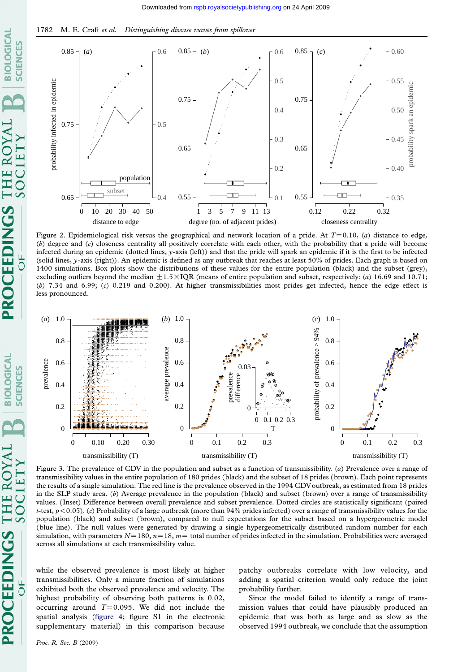



Figure 2. Epidemiological risk versus the geographical and network location of a pride. At  $T=0.10$ , (a) distance to edge, (b) degree and (c) closeness centrality all positively correlate with each other, with the probability that a pride will become infected during an epidemic (dotted lines, y-axis (left)) and that the pride will spark an epidemic if it is the first to be infected (solid lines, y-axis (right)). An epidemic is defined as any outbreak that reaches at least 50% of prides. Each graph is based on 1400 simulations. Box plots show the distributions of these values for the entire population (black) and the subset (grey), excluding outliers beyond the median  $\pm 1.5 \times IQR$  (means of entire population and subset, respectively: (a) 16.69 and 10.71; (b) 7.34 and 6.99; (c) 0.219 and 0.200). At higher transmissibilities most prides get infected, hence the edge effect is less pronounced.



Figure 3. The prevalence of CDV in the population and subset as a function of transmissibility. (a) Prevalence over a range of transmissibility values in the entire population of 180 prides (black) and the subset of 18 prides (brown). Each point represents the results of a single simulation. The red line is the prevalence observed in the 1994 CDVoutbreak, as estimated from 18 prides in the SLP study area. (b) Average prevalence in the population (black) and subset (brown) over a range of transmissibility values. (Inset) Difference between overall prevalence and subset prevalence. Dotted circles are statistically significant (paired t-test,  $p < 0.05$ ). (c) Probability of a large outbreak (more than 94% prides infected) over a range of transmissibility values for the population (black) and subset (brown), compared to null expectations for the subset based on a hypergeometric model (blue line). The null values were generated by drawing a single hypergeometrically distributed random number for each simulation, with parameters  $N=180$ ,  $n=18$ ,  $m=$  total number of prides infected in the simulation. Probabilities were averaged across all simulations at each transmissibility value.

while the observed prevalence is most likely at higher transmissibilities. Only a minute fraction of simulations exhibited both the observed prevalence and velocity. The highest probability of observing both patterns is 0.02, occurring around  $T=0.095$ . We did not include the spatial analysis ([figure 4;](#page-7-0) figure S1 in the electronic supplementary material) in this comparison because

patchy outbreaks correlate with low velocity, and adding a spatial criterion would only reduce the joint probability further.

Since the model failed to identify a range of transmission values that could have plausibly produced an epidemic that was both as large and as slow as the observed 1994 outbreak, we conclude that the assumption

<span id="page-6-0"></span>**BIOLOGICAL** CIENCES

ROVA

THE

PROCEEDINGS

**BIOLOGICAL CIENCES** 

Proc. R. Soc. B (2009)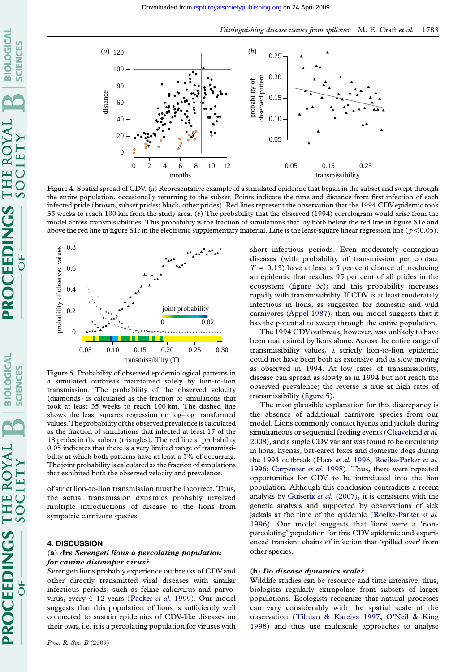<span id="page-7-0"></span>

Figure 4. Spatial spread of CDV. (a) Representative example of a simulated epidemic that began in the subset and swept through the entire population, occasionally returning to the subset. Points indicate the time and distance from first infection of each infected pride (brown, subset prides; black, other prides). Red lines represent the observation that the 1994 CDVepidemic took 35 weeks to reach 100 km from the study area.  $(b)$  The probability that the observed (1994) correlogram would arise from the model across transmissibilities. This probability is the fraction of simulations that lay both below the red line in figure S1b and above the red line in figure S1c in the electronic supplementary material. Line is the least-square linear regression line ( $p < 0.05$ ).



Figure 5. Probability of observed epidemiological patterns in a simulated outbreak maintained solely by lion-to-lion transmission. The probability of the observed velocity (diamonds) is calculated as the fraction of simulations that took at least 35 weeks to reach 100 km. The dashed line shows the least squares regression on log–log transformed values. The probability of the observed prevalence is calculated as the fraction of simulations that infected at least 17 of the 18 prides in the subset (triangles). The red line at probability 0.05 indicates that there is a very limited range of transmissibility at which both patterns have at least a 5% of occurring. The joint probability is calculated as the fraction of simulations that exhibited both the observed velocity and prevalence.

of strict lion-to-lion transmission must be incorrect. Thus, the actual transmission dynamics probably involved multiple introductions of disease to the lions from sympatric carnivore species.

## 4. DISCUSSION

## (a) Are Serengeti lions a percolating population for canine distemper virus?

Serengeti lions probably experience outbreaks of CDVand other directly transmitted viral diseases with similar infectious periods, such as feline calicivirus and parvo-virus, every 4-12 years ([Packer](#page-9-0) et al. 1999). Our model suggests that this population of lions is sufficiently well connected to sustain epidemics of CDV-like diseases on their own, i.e. it is a percolating population for viruses with short infectious periods. Even moderately contagious diseases (with probability of transmission per contact  $T \approx 0.13$ ) have at least a 5 per cent chance of producing an epidemic that reaches 95 per cent of all prides in the ecosystem (figure  $3c$ ); and this probability increases rapidly with transmissibility. If CDV is at least moderately infectious in lions, as suggested for domestic and wild carnivores [\(Appel 1987\)](#page-8-0), then our model suggests that it has the potential to sweep through the entire population.

The 1994 CDV outbreak, however, was unlikely to have been maintained by lions alone. Across the entire range of transmissibility values, a strictly lion-to-lion epidemic could not have been both as extensive and as slow moving as observed in 1994. At low rates of transmissibility, disease can spread as slowly as in 1994 but not reach the observed prevalence; the reverse is true at high rates of transmissibility (figure 5).

The most plausible explanation for this discrepancy is the absence of additional carnivore species from our model. Lions commonly contact hyenas and jackals during simultaneous or sequential feeding events [\(Cleaveland](#page-8-0) et al. [2008\)](#page-8-0), and a single CDV variant was found to be circulating in lions, hyenas, bat-eared foxes and domestic dogs during the 1994 outbreak ([Haas](#page-9-0) et al. 1996; [Roelke-Parker](#page-9-0) et al. [1996;](#page-9-0) [Carpenter](#page-8-0) et al. 1998). Thus, there were repeated opportunities for CDV to be introduced into the lion population. Although this conclusion contradicts a recent analysis by [Guiserix](#page-9-0) et al. (2007), it is consistent with the genetic analysis and supported by observations of sick jackals at the time of the epidemic ([Roelke-Parker](#page-9-0) et al. [1996\)](#page-9-0). Our model suggests that lions were a 'nonpercolating' population for this CDV epidemic and experienced transient chains of infection that 'spilled over' from other species.

## (b) Do disease dynamics scale?

Wildlife studies can be resource and time intensive; thus, biologists regularly extrapolate from subsets of larger populations. Ecologists recognize that natural processes can vary considerably with the spatial scale of the observation ([Tilman & Kareiva 1997](#page-9-0); [O'Neil & King](#page-9-0) [1998](#page-9-0)) and thus use multiscale approaches to analyse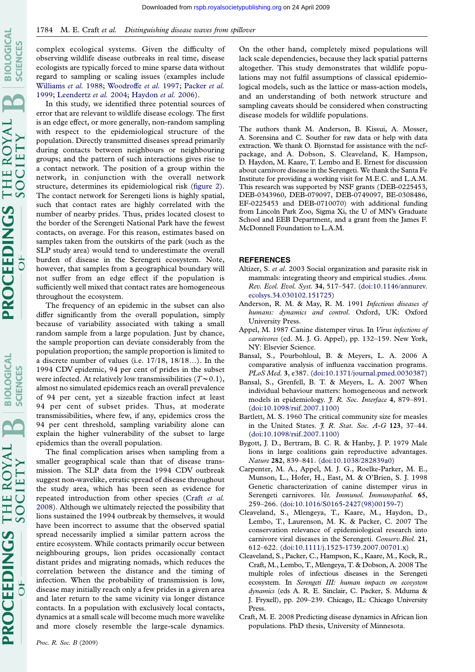<span id="page-8-0"></span>complex ecological systems. Given the difficulty of observing wildlife disease outbreaks in real time, disease ecologists are typically forced to mine sparse data without regard to sampling or scaling issues (examples include [Williams](#page-9-0) et al. 1988; [Woodroffe](#page-9-0) et al. 1997; [Packer](#page-9-0) et al. [1999](#page-9-0); [Leendertz](#page-9-0) et al. 2004; [Haydon](#page-9-0) et al. 2006).

In this study, we identified three potential sources of error that are relevant to wildlife disease ecology. The first is an edge effect, or more generally, non-random sampling with respect to the epidemiological structure of the population. Directly transmitted diseases spread primarily during contacts between neighbours or neighbouring groups; and the pattern of such interactions gives rise to a contact network. The position of a group within the network, in conjunction with the overall network structure, determines its epidemiological risk [\(figure 2](#page-6-0)). The contact network for Serengeti lions is highly spatial, such that contact rates are highly correlated with the number of nearby prides. Thus, prides located closest to the border of the Serengeti National Park have the fewest contacts, on average. For this reason, estimates based on samples taken from the outskirts of the park (such as the SLP study area) would tend to underestimate the overall burden of disease in the Serengeti ecosystem. Note, however, that samples from a geographical boundary will not suffer from an edge effect if the population is sufficiently well mixed that contact rates are homogeneous throughout the ecosystem.

The frequency of an epidemic in the subset can also differ significantly from the overall population, simply because of variability associated with taking a small random sample from a large population. Just by chance, the sample proportion can deviate considerably from the population proportion; the sample proportion is limited to a discrete number of values (i.e. 17/18, 18/18.). In the 1994 CDV epidemic, 94 per cent of prides in the subset were infected. At relatively low transmissibilities  $(T \sim 0.1)$ , almost no simulated epidemics reach an overall prevalence of 94 per cent, yet a sizeable fraction infect at least 94 per cent of subset prides. Thus, at moderate transmissibilities, where few, if any, epidemics cross the 94 per cent threshold, sampling variability alone can explain the higher vulnerability of the subset to large epidemics than the overall population.

The final complication arises when sampling from a smaller geographical scale than that of disease transmission. The SLP data from the 1994 CDV outbreak suggest non-wavelike, erratic spread of disease throughout the study area, which has been seen as evidence for repeated introduction from other species (Craft [et al.](#page-9-0) [2008](#page-9-0)). Although we ultimately rejected the possibility that lions sustained the 1994 outbreak by themselves, it would have been incorrect to assume that the observed spatial spread necessarily implied a similar pattern across the entire ecosystem. While contacts primarily occur between neighbouring groups, lion prides occasionally contact distant prides and migrating nomads, which reduces the correlation between the distance and the timing of infection. When the probability of transmission is low, disease may initially reach only a few prides in a given area and later return to the same vicinity via longer distance contacts. In a population with exclusively local contacts, dynamics at a small scale will become much more wavelike and more closely resemble the large-scale dynamics.

On the other hand, completely mixed populations will lack scale dependencies, because they lack spatial patterns altogether. This study demonstrates that wildlife populations may not fulfil assumptions of classical epidemiological models, such as the lattice or mass-action models, and an understanding of both network structure and sampling caveats should be considered when constructing disease models for wildlife populations.

The authors thank M. Anderson, B. Kissui, A. Mosser, A. Sorensina and C. Souther for raw data or help with data extraction. We thank O. Bjornstad for assistance with the ncfpackage, and A. Dobson, S. Cleaveland, K. Hampson, D. Haydon, M. Kaare, T. Lembo and E. Ernest for discussion about carnivore disease in the Serengeti. We thank the Santa Fe Institute for providing a working visit for M.E.C. and L.A.M. This research was supported by NSF grants (DEB-0225453, DEB-0343960, DEB-079097, DEB-0749097, BE-0308486, EF-0225453 and DEB-0710070) with additional funding from Lincoln Park Zoo, Sigma Xi, the U of MN's Graduate School and EEB Department, and a grant from the James F. McDonnell Foundation to L.A.M.

#### **REFERENCES**

- Altizer, S. et al. 2003 Social organization and parasite risk in mammals: integrating theory and empirical studies. Annu. Rev. Ecol. Evol. Syst. 34, 517–547. [\(doi:10.1146/annurev.](http://dx.doi.org/doi:10.1146/annurev.ecolsys.34.030102.151725) [ecolsys.34.030102.151725](http://dx.doi.org/doi:10.1146/annurev.ecolsys.34.030102.151725))
- Anderson, R. M. & May, R. M. 1991 Infectious diseases of humans: dynamics and control. Oxford, UK: Oxford University Press.
- Appel, M. 1987 Canine distemper virus. In Virus infections of carnivores (ed. M. J. G. Appel), pp. 132–159. New York, NY: Elsevier Science.
- Bansal, S., Pourbohloul, B. & Meyers, L. A. 2006 A comparative analysis of influenza vaccination programs. PLoS Med. 3, e387. [\(doi:10.1371/journal.pmed.0030387](http://dx.doi.org/doi:10.1371/journal.pmed.0030387))
- Bansal, S., Grenfell, B. T. & Meyers, L. A. 2007 When individual behaviour matters: homogeneous and network models in epidemiology. *J. R. Soc. Interface* 4, 879-891. ([doi:10.1098/rsif.2007.1100\)](http://dx.doi.org/doi:10.1098/rsif.2007.1100)
- Bartlett, M. S. 1960 The critical community size for measles in the United States. *J. R. Stat. Soc. A-G* 123, 37-44. ([doi:10.1098/rsif.2007.1100\)](http://dx.doi.org/doi:10.1098/rsif.2007.1100)
- Bygott, J. D., Bertram, B. C. R. & Hanby, J. P. 1979 Male lions in large coalitions gain reproductive advantages. Nature 282, 839–841. [\(doi:10.1038/282839a0\)](http://dx.doi.org/doi:10.1038/282839a0)
- Carpenter, M. A., Appel, M. J. G., Roelke-Parker, M. E., Munson, L., Hofer, H., East, M. & O'Brien, S. J. 1998 Genetic characterization of canine distemper virus in Serengeti carnivores. Vet. Immunol. Immunopathol. 65, 259–266. [\(doi:10.1016/S0165-2427\(98\)00159-7](http://dx.doi.org/doi:10.1016/S0165-2427(98)00159-7))
- Cleaveland, S., Mlengeya, T., Kaare, M., Haydon, D., Lembo, T., Laurenson, M. K. & Packer, C. 2007 The conservation relevance of epidemiological research into carnivore viral diseases in the Serengeti. Conserv.Biol. 21, 612–622. [\(doi:10.1111/j.1523-1739.2007.00701.x\)](http://dx.doi.org/doi:10.1111/j.1523-1739.2007.00701.x)
- Cleaveland, S., Packer, C., Hampson, K., Kaare, M., Kock, R., Craft, M., Lembo, T., Mlengeya, T. & Dobson, A. 2008 The multiple roles of infectious diseases in the Serengeti ecosystem. In Serengeti III: human impacts on ecosystem dynamics (eds A. R. E. Sinclair, C. Packer, S. Mduma & J. Fryxell), pp. 209–239. Chicago, IL: Chicago University Press.
- Craft, M. E. 2008 Predicting disease dynamics in African lion populations. PhD thesis, University of Minnesota.

BIOLOGICAL<br>SCIENCES